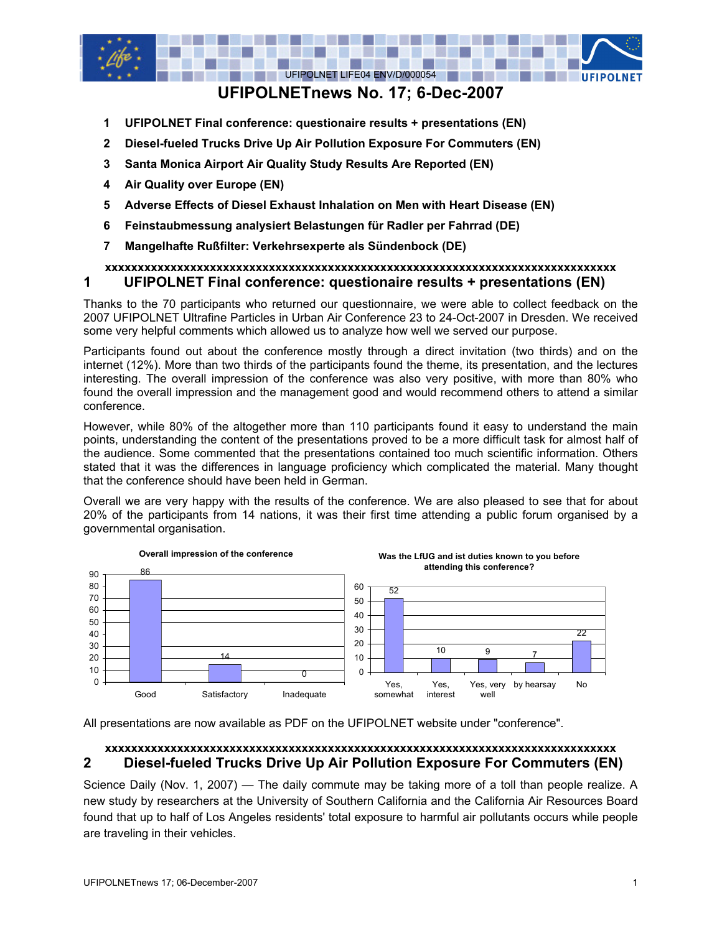

# **UFIPOLNETnews No. 17; 6-Dec-2007**

- **1 UFIPOLNET Final conference: questionaire results + presentations (EN)**
- **2 Diesel-fueled Trucks Drive Up Air Pollution Exposure For Commuters (EN)**
- **3 Santa Monica Airport Air Quality Study Results Are Reported (EN)**
- **4 Air Quality over Europe (EN)**
- **5 Adverse Effects of Diesel Exhaust Inhalation on Men with Heart Disease (EN)**
- **6 Feinstaubmessung analysiert Belastungen für Radler per Fahrrad (DE)**
- **7 Mangelhafte Rußfilter: Verkehrsexperte als Sündenbock (DE)**

### **xxxxxxxxxxxxxxxxxxxxxxxxxxxxxxxxxxxxxxxxxxxxxxxxxxxxxxxxxxxxxxxxxxxxxxxxxxxxxx 1 UFIPOLNET Final conference: questionaire results + presentations (EN)**

Thanks to the 70 participants who returned our questionnaire, we were able to collect feedback on the 2007 UFIPOLNET Ultrafine Particles in Urban Air Conference 23 to 24-Oct-2007 in Dresden. We received some very helpful comments which allowed us to analyze how well we served our purpose.

Participants found out about the conference mostly through a direct invitation (two thirds) and on the internet (12%). More than two thirds of the participants found the theme, its presentation, and the lectures interesting. The overall impression of the conference was also very positive, with more than 80% who found the overall impression and the management good and would recommend others to attend a similar conference.

However, while 80% of the altogether more than 110 participants found it easy to understand the main points, understanding the content of the presentations proved to be a more difficult task for almost half of the audience. Some commented that the presentations contained too much scientific information. Others stated that it was the differences in language proficiency which complicated the material. Many thought that the conference should have been held in German.

Overall we are very happy with the results of the conference. We are also pleased to see that for about 20% of the participants from 14 nations, it was their first time attending a public forum organised by a governmental organisation.



All presentations are now available as PDF on the UFIPOLNET website under "conference".

## **xxxxxxxxxxxxxxxxxxxxxxxxxxxxxxxxxxxxxxxxxxxxxxxxxxxxxxxxxxxxxxxxxxxxxxxxxxxxxx 2 Diesel-fueled Trucks Drive Up Air Pollution Exposure For Commuters (EN)**

Science Daily (Nov. 1, 2007) — The daily commute may be taking more of a toll than people realize. A new study by researchers at the University of Southern California and the California Air Resources Board found that up to half of Los Angeles residents' total exposure to harmful air pollutants occurs while people are traveling in their vehicles.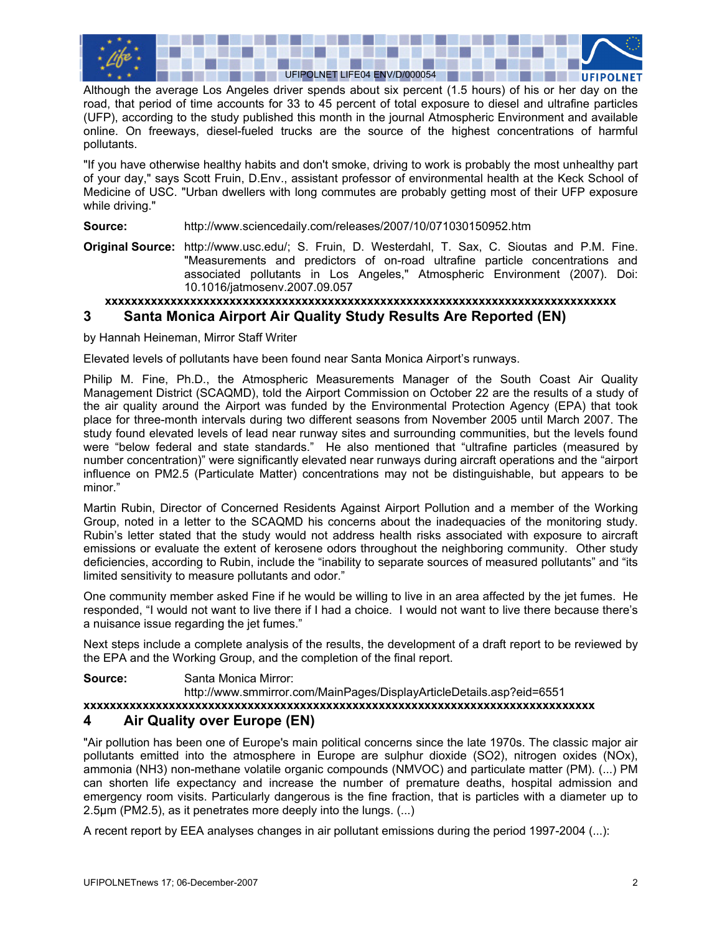

Although the average Los Angeles driver spends about six percent (1.5 hours) of his or her day on the road, that period of time accounts for 33 to 45 percent of total exposure to diesel and ultrafine particles (UFP), according to the study published this month in the journal Atmospheric Environment and available online. On freeways, diesel-fueled trucks are the source of the highest concentrations of harmful pollutants.

"If you have otherwise healthy habits and don't smoke, driving to work is probably the most unhealthy part of your day," says Scott Fruin, D.Env., assistant professor of environmental health at the Keck School of Medicine of USC. "Urban dwellers with long commutes are probably getting most of their UFP exposure while driving."

**Source:** http://www.sciencedaily.com/releases/2007/10/071030150952.htm

**Original Source:** http://www.usc.edu/; S. Fruin, D. Westerdahl, T. Sax, C. Sioutas and P.M. Fine. "Measurements and predictors of on-road ultrafine particle concentrations and associated pollutants in Los Angeles," Atmospheric Environment (2007). Doi: 10.1016/jatmosenv.2007.09.057

### **xxxxxxxxxxxxxxxxxxxxxxxxxxxxxxxxxxxxxxxxxxxxxxxxxxxxxxxxxxxxxxxxxxxxxxxxxxxxxx 3 Santa Monica Airport Air Quality Study Results Are Reported (EN)**

by Hannah Heineman, Mirror Staff Writer

Elevated levels of pollutants have been found near Santa Monica Airport's runways.

Philip M. Fine, Ph.D., the Atmospheric Measurements Manager of the South Coast Air Quality Management District (SCAQMD), told the Airport Commission on October 22 are the results of a study of the air quality around the Airport was funded by the Environmental Protection Agency (EPA) that took place for three-month intervals during two different seasons from November 2005 until March 2007. The study found elevated levels of lead near runway sites and surrounding communities, but the levels found were "below federal and state standards." He also mentioned that "ultrafine particles (measured by number concentration)" were significantly elevated near runways during aircraft operations and the "airport influence on PM2.5 (Particulate Matter) concentrations may not be distinguishable, but appears to be minor."

Martin Rubin, Director of Concerned Residents Against Airport Pollution and a member of the Working Group, noted in a letter to the SCAQMD his concerns about the inadequacies of the monitoring study. Rubin's letter stated that the study would not address health risks associated with exposure to aircraft emissions or evaluate the extent of kerosene odors throughout the neighboring community. Other study deficiencies, according to Rubin, include the "inability to separate sources of measured pollutants" and "its limited sensitivity to measure pollutants and odor."

One community member asked Fine if he would be willing to live in an area affected by the jet fumes. He responded, "I would not want to live there if I had a choice. I would not want to live there because there's a nuisance issue regarding the jet fumes."

Next steps include a complete analysis of the results, the development of a draft report to be reviewed by the EPA and the Working Group, and the completion of the final report.

**Source:** Santa Monica Mirror:

http://www.smmirror.com/MainPages/DisplayArticleDetails.asp?eid=6551

### **xxxxxxxxxxxxxxxxxxxxxxxxxxxxxxxxxxxxxxxxxxxxxxxxxxxxxxxxxxxxxxxxxxxxxxxxxxxxxx**

## **4 Air Quality over Europe (EN)**

"Air pollution has been one of Europe's main political concerns since the late 1970s. The classic major air pollutants emitted into the atmosphere in Europe are sulphur dioxide (SO2), nitrogen oxides (NOx), ammonia (NH3) non-methane volatile organic compounds (NMVOC) and particulate matter (PM). (...) PM can shorten life expectancy and increase the number of premature deaths, hospital admission and emergency room visits. Particularly dangerous is the fine fraction, that is particles with a diameter up to 2.5µm (PM2.5), as it penetrates more deeply into the lungs. (...)

A recent report by EEA analyses changes in air pollutant emissions during the period 1997-2004 (...):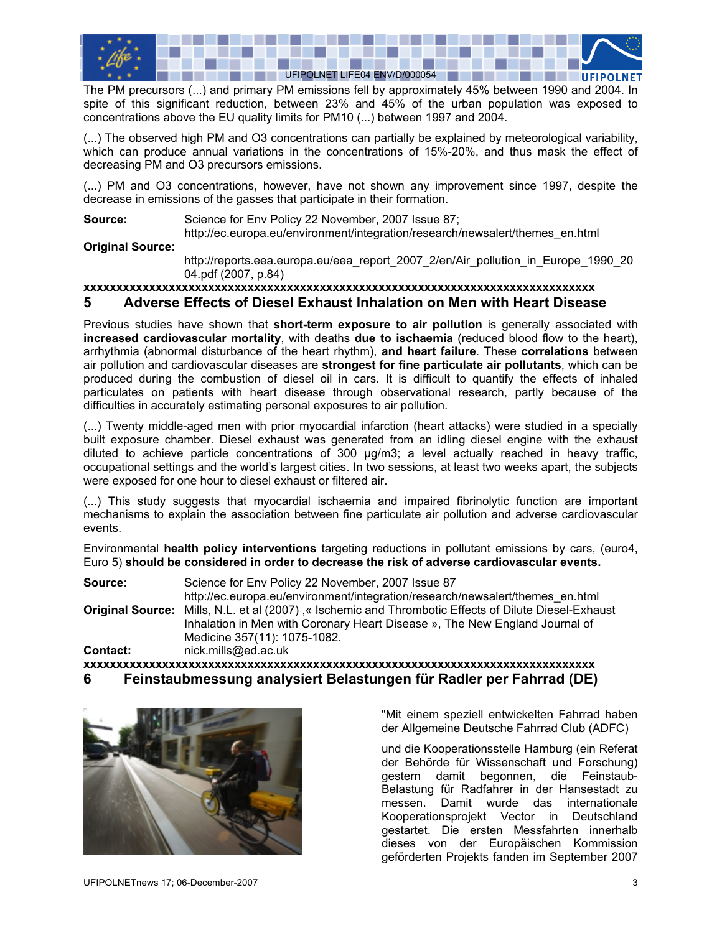

The PM precursors (...) and primary PM emissions fell by approximately 45% between 1990 and 2004. In spite of this significant reduction, between 23% and 45% of the urban population was exposed to concentrations above the EU quality limits for PM10 (...) between 1997 and 2004.

(...) The observed high PM and O3 concentrations can partially be explained by meteorological variability, which can produce annual variations in the concentrations of 15%-20%, and thus mask the effect of decreasing PM and O3 precursors emissions.

(...) PM and O3 concentrations, however, have not shown any improvement since 1997, despite the decrease in emissions of the gasses that participate in their formation.

**Source:** Science for Env Policy 22 November, 2007 Issue 87;

http://ec.europa.eu/environment/integration/research/newsalert/themes\_en.html

### **Original Source:**

http://reports.eea.europa.eu/eea\_report\_2007\_2/en/Air\_pollution\_in\_Europe\_1990\_20 04.pdf (2007, p.84)

# **xxxxxxxxxxxxxxxxxxxxxxxxxxxxxxxxxxxxxxxxxxxxxxxxxxxxxxxxxxxxxxxxxxxxxxxxxxxxxx**

## **5 Adverse Effects of Diesel Exhaust Inhalation on Men with Heart Disease**

Previous studies have shown that **short-term exposure to air pollution** is generally associated with **increased cardiovascular mortality**, with deaths **due to ischaemia** (reduced blood flow to the heart), arrhythmia (abnormal disturbance of the heart rhythm), **and heart failure**. These **correlations** between air pollution and cardiovascular diseases are **strongest for fine particulate air pollutants**, which can be produced during the combustion of diesel oil in cars. It is difficult to quantify the effects of inhaled particulates on patients with heart disease through observational research, partly because of the difficulties in accurately estimating personal exposures to air pollution.

(...) Twenty middle-aged men with prior myocardial infarction (heart attacks) were studied in a specially built exposure chamber. Diesel exhaust was generated from an idling diesel engine with the exhaust diluted to achieve particle concentrations of 300 µg/m3; a level actually reached in heavy traffic, occupational settings and the world's largest cities. In two sessions, at least two weeks apart, the subjects were exposed for one hour to diesel exhaust or filtered air.

(...) This study suggests that myocardial ischaemia and impaired fibrinolytic function are important mechanisms to explain the association between fine particulate air pollution and adverse cardiovascular events.

Environmental **health policy interventions** targeting reductions in pollutant emissions by cars, (euro4, Euro 5) **should be considered in order to decrease the risk of adverse cardiovascular events.** 

**Source:** Science for Env Policy 22 November, 2007 Issue 87 http://ec.europa.eu/environment/integration/research/newsalert/themes\_en.html **Original Source:** Mills, N.L. et al (2007) ,« Ischemic and Thrombotic Effects of Dilute Diesel-Exhaust Inhalation in Men with Coronary Heart Disease », The New England Journal of Medicine 357(11): 1075-1082. **Contact:** [nick.mills@ed.ac.uk](mailto:nick.mills@ed.ac.uk) 

**xxxxxxxxxxxxxxxxxxxxxxxxxxxxxxxxxxxxxxxxxxxxxxxxxxxxxxxxxxxxxxxxxxxxxxxxxxxxxx 6 Feinstaubmessung analysiert Belastungen für Radler per Fahrrad (DE)** 



"Mit einem speziell entwickelten Fahrrad haben der Allgemeine Deutsche Fahrrad Club (ADFC)

und die Kooperationsstelle Hamburg (ein Referat der Behörde für Wissenschaft und Forschung) gestern damit begonnen, die Feinstaub-Belastung für Radfahrer in der Hansestadt zu messen. Damit wurde das internationale Kooperationsprojekt Vector in Deutschland gestartet. Die ersten Messfahrten innerhalb dieses von der Europäischen Kommission geförderten Projekts fanden im September 2007